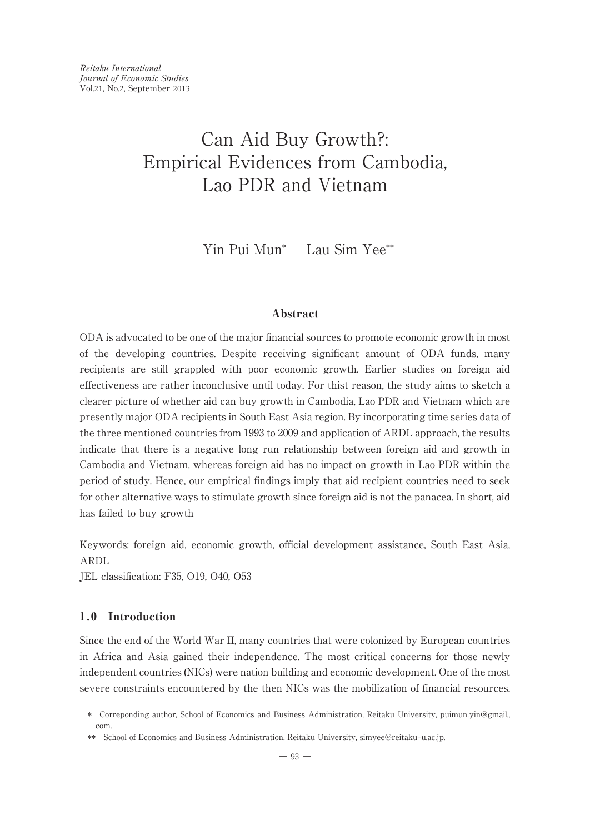Yin Pui Mun\* Lau Sim Yee\*\*

# Abstract

ODA is advocated to be one of the major financial sources to promote economic growth in most of the developing countries. Despite receiving significant amount of ODA funds, many recipients are still grappled with poor economic growth. Earlier studies on foreign aid effectiveness are rather inconclusive until today. For thist reason, the study aims to sketch a clearer picture of whether aid can buy growth in Cambodia, Lao PDR and Vietnam which are presently major ODA recipients in South East Asia region. By incorporating time series data of the three mentioned countries from 1993 to 2009 and application of ARDL approach, the results indicate that there is a negative long run relationship between foreign aid and growth in Cambodia and Vietnam, whereas foreign aid has no impact on growth in Lao PDR within the period of study. Hence, our empirical findings imply that aid recipient countries need to seek for other alternative ways to stimulate growth since foreign aid is not the panacea. In short, aid has failed to buy growth

Keywords: foreign aid, economic growth, official development assistance, South East Asia, ARDL

JEL classification: F35, O19, O40, O53

# 1.0 Introduction

Since the end of the World War II, many countries that were colonized by European countries in Africa and Asia gained their independence. The most critical concerns for those newly independent countries (NICs) were nation building and economic development. One of the most severe constraints encountered by the then NICs was the mobilization of financial resources.

<sup>\*</sup> Correponding author, School of Economics and Business Administration, Reitaku University, puimun.yin@gmail., com.

<sup>\*\*</sup> School of Economics and Business Administration, Reitaku University, simyee@reitaku-u.ac.jp.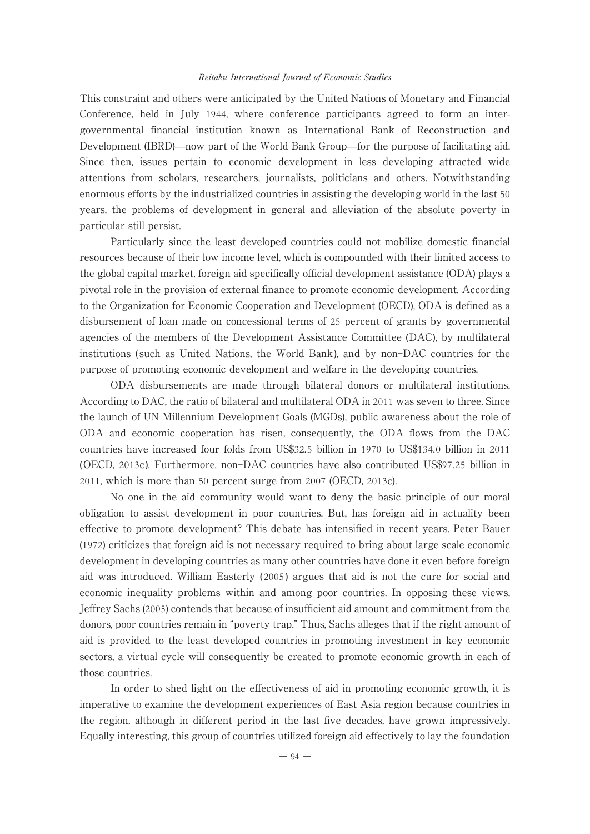This constraint and others were anticipated by the United Nations of Monetary and Financial Conference, held in July 1944, where conference participants agreed to form an intergovernmental financial institution known as International Bank of Reconstruction and Development (IBRD)̶now part of the World Bank Group̶for the purpose of facilitating aid. Since then, issues pertain to economic development in less developing attracted wide attentions from scholars, researchers, journalists, politicians and others. Notwithstanding enormous efforts by the industrialized countries in assisting the developing world in the last 50 years, the problems of development in general and alleviation of the absolute poverty in particular still persist.

Particularly since the least developed countries could not mobilize domestic financial resources because of their low income level, which is compounded with their limited access to the global capital market, foreign aid specifically official development assistance (ODA) plays a pivotal role in the provision of external finance to promote economic development. According to the Organization for Economic Cooperation and Development (OECD), ODA is defined as a disbursement of loan made on concessional terms of 25 percent of grants by governmental agencies of the members of the Development Assistance Committee (DAC), by multilateral institutions ( such as United Nations, the World Bank), and by non-DAC countries for the purpose of promoting economic development and welfare in the developing countries.

ODA disbursements are made through bilateral donors or multilateral institutions. According to DAC, the ratio of bilateral and multilateral ODA in 2011 was seven to three. Since the launch of UN Millennium Development Goals (MGDs), public awareness about the role of ODA and economic cooperation has risen, consequently, the ODA flows from the DAC countries have increased four folds from US\$32.5 billion in 1970 to US\$134.0 billion in 2011 (OECD, 2013c). Furthermore, non-DAC countries have also contributed US\$97.25 billion in 2011, which is more than 50 percent surge from 2007 (OECD, 2013c).

No one in the aid community would want to deny the basic principle of our moral obligation to assist development in poor countries. But, has foreign aid in actuality been effective to promote development? This debate has intensified in recent years. Peter Bauer (1972) criticizes that foreign aid is not necessary required to bring about large scale economic development in developing countries as many other countries have done it even before foreign aid was introduced. William Easterly ( 2005 ) argues that aid is not the cure for social and economic inequality problems within and among poor countries. In opposing these views, Jeffrey Sachs (2005) contends that because of insufficient aid amount and commitment from the donors, poor countries remain in "poverty trap." Thus, Sachs alleges that if the right amount of aid is provided to the least developed countries in promoting investment in key economic sectors, a virtual cycle will consequently be created to promote economic growth in each of those countries.

In order to shed light on the effectiveness of aid in promoting economic growth, it is imperative to examine the development experiences of East Asia region because countries in the region, although in different period in the last five decades, have grown impressively. Equally interesting, this group of countries utilized foreign aid effectively to lay the foundation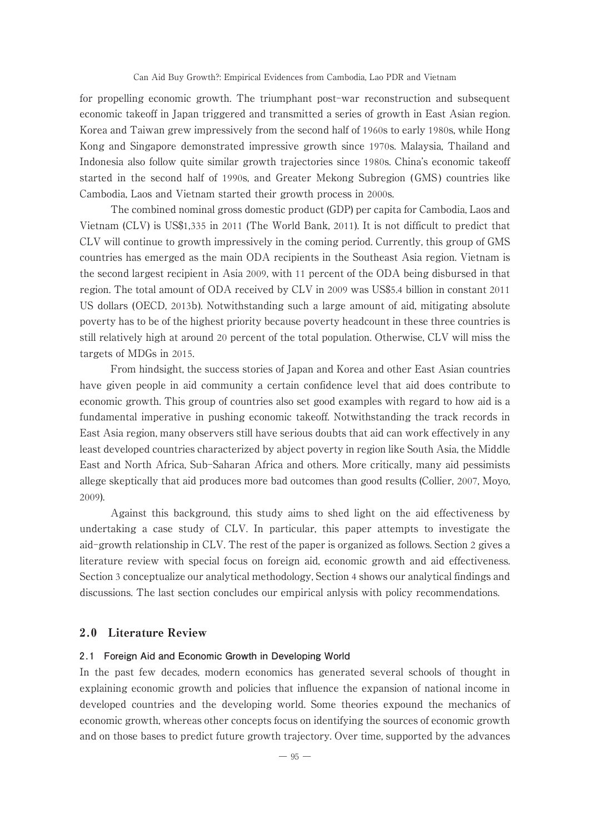for propelling economic growth. The triumphant post-war reconstruction and subsequent economic takeoff in Japan triggered and transmitted a series of growth in East Asian region. Korea and Taiwan grew impressively from the second half of 1960s to early 1980s, while Hong Kong and Singapore demonstrated impressive growth since 1970s. Malaysia, Thailand and Indonesia also follow quite similar growth trajectories since 1980s. China's economic takeoff started in the second half of 1990s, and Greater Mekong Subregion (GMS) countries like Cambodia, Laos and Vietnam started their growth process in 2000s.

The combined nominal gross domestic product (GDP) per capita for Cambodia, Laos and Vietnam (CLV) is US\$1,335 in 2011 (The World Bank, 2011). It is not difficult to predict that CLV will continue to growth impressively in the coming period. Currently, this group of GMS countries has emerged as the main ODA recipients in the Southeast Asia region. Vietnam is the second largest recipient in Asia 2009, with 11 percent of the ODA being disbursed in that region. The total amount of ODA received by CLV in 2009 was US\$5.4 billion in constant 2011 US dollars (OECD, 2013b). Notwithstanding such a large amount of aid, mitigating absolute poverty has to be of the highest priority because poverty headcount in these three countries is still relatively high at around 20 percent of the total population. Otherwise, CLV will miss the targets of MDGs in 2015.

From hindsight, the success stories of Japan and Korea and other East Asian countries have given people in aid community a certain confidence level that aid does contribute to economic growth. This group of countries also set good examples with regard to how aid is a fundamental imperative in pushing economic takeoff. Notwithstanding the track records in East Asia region, many observers still have serious doubts that aid can work effectively in any least developed countries characterized by abject poverty in region like South Asia, the Middle East and North Africa, Sub-Saharan Africa and others. More critically, many aid pessimists allege skeptically that aid produces more bad outcomes than good results (Collier, 2007, Moyo, 2009).

Against this background, this study aims to shed light on the aid effectiveness by undertaking a case study of CLV. In particular, this paper attempts to investigate the aid-growth relationship in CLV. The rest of the paper is organized as follows. Section 2 gives a literature review with special focus on foreign aid, economic growth and aid effectiveness. Section 3 conceptualize our analytical methodology, Section 4 shows our analytical findings and discussions. The last section concludes our empirical anlysis with policy recommendations.

## 2.0 Literature Review

#### **2.1 Foreign Aid and Economic Growth in Developing World**

In the past few decades, modern economics has generated several schools of thought in explaining economic growth and policies that influence the expansion of national income in developed countries and the developing world. Some theories expound the mechanics of economic growth, whereas other concepts focus on identifying the sources of economic growth and on those bases to predict future growth trajectory. Over time, supported by the advances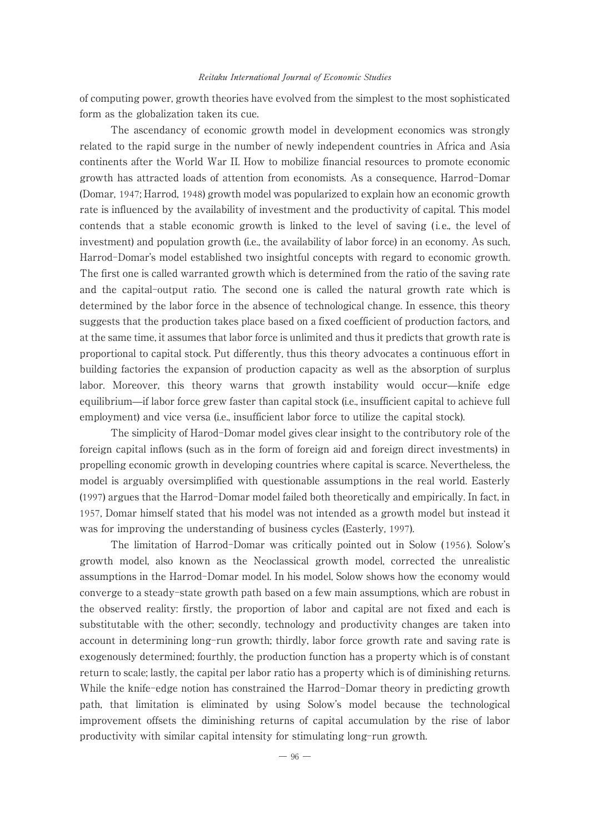of computing power, growth theories have evolved from the simplest to the most sophisticated form as the globalization taken its cue.

The ascendancy of economic growth model in development economics was strongly related to the rapid surge in the number of newly independent countries in Africa and Asia continents after the World War II. How to mobilize financial resources to promote economic growth has attracted loads of attention from economists. As a consequence, Harrod-Domar (Domar, 1947; Harrod, 1948) growth model was popularized to explain how an economic growth rate is influenced by the availability of investment and the productivity of capital. This model contends that a stable economic growth is linked to the level of saving (*i.e.*, the level of investment) and population growth (i.e., the availability of labor force) in an economy. As such, Harrod-Domar's model established two insightful concepts with regard to economic growth. The first one is called warranted growth which is determined from the ratio of the saving rate and the capital-output ratio. The second one is called the natural growth rate which is determined by the labor force in the absence of technological change. In essence, this theory suggests that the production takes place based on a fixed coefficient of production factors, and at the same time, it assumes that labor force is unlimited and thus it predicts that growth rate is proportional to capital stock. Put differently, thus this theory advocates a continuous effort in building factories the expansion of production capacity as well as the absorption of surplus labor. Moreover, this theory warns that growth instability would occur̶knife edge equilibrium̶if labor force grew faster than capital stock (i.e., insufficient capital to achieve full employment) and vice versa (i.e., insufficient labor force to utilize the capital stock).

The simplicity of Harod-Domar model gives clear insight to the contributory role of the foreign capital inflows (such as in the form of foreign aid and foreign direct investments) in propelling economic growth in developing countries where capital is scarce. Nevertheless, the model is arguably oversimplified with questionable assumptions in the real world. Easterly (1997) argues that the Harrod-Domar model failed both theoretically and empirically. In fact, in 1957, Domar himself stated that his model was not intended as a growth model but instead it was for improving the understanding of business cycles (Easterly, 1997).

The limitation of Harrod-Domar was critically pointed out in Solow ( 1956 ). Solow's growth model, also known as the Neoclassical growth model, corrected the unrealistic assumptions in the Harrod-Domar model. In his model, Solow shows how the economy would converge to a steady-state growth path based on a few main assumptions, which are robust in the observed reality: firstly, the proportion of labor and capital are not fixed and each is substitutable with the other; secondly, technology and productivity changes are taken into account in determining long-run growth; thirdly, labor force growth rate and saving rate is exogenously determined; fourthly, the production function has a property which is of constant return to scale; lastly, the capital per labor ratio has a property which is of diminishing returns. While the knife-edge notion has constrained the Harrod-Domar theory in predicting growth path, that limitation is eliminated by using Solow's model because the technological improvement offsets the diminishing returns of capital accumulation by the rise of labor productivity with similar capital intensity for stimulating long-run growth.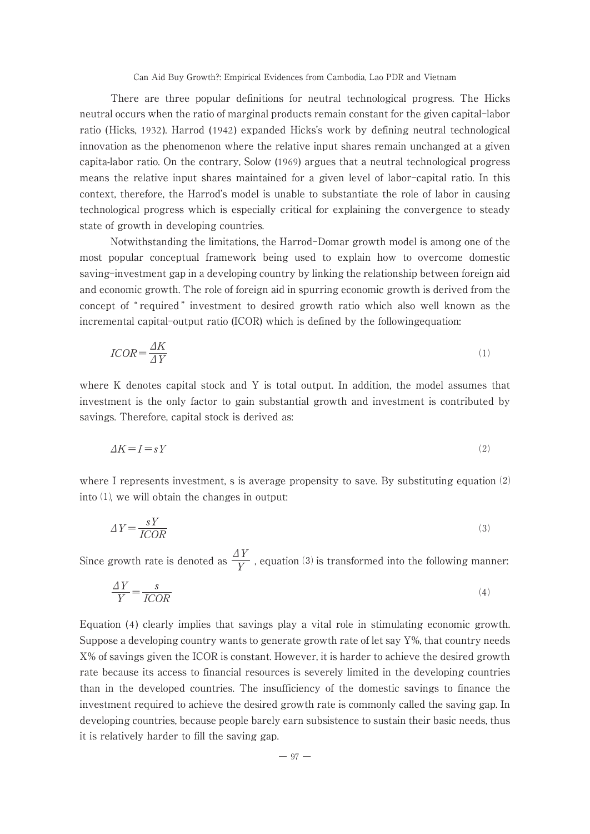There are three popular definitions for neutral technological progress. The Hicks neutral occurs when the ratio of marginal products remain constant for the given capital-labor ratio (Hicks, 1932). Harrod (1942) expanded Hicks's work by defining neutral technological innovation as the phenomenon where the relative input shares remain unchanged at a given capita-labor ratio. On the contrary, Solow (1969) argues that a neutral technological progress means the relative input shares maintained for a given level of labor-capital ratio. In this context, therefore, the Harrod's model is unable to substantiate the role of labor in causing technological progress which is especially critical for explaining the convergence to steady state of growth in developing countries.

Notwithstanding the limitations, the Harrod-Domar growth model is among one of the most popular conceptual framework being used to explain how to overcome domestic saving-investment gap in a developing country by linking the relationship between foreign aid and economic growth. The role of foreign aid in spurring economic growth is derived from the concept of " required " investment to desired growth ratio which also well known as the incremental capital-output ratio (ICOR) which is defined by the followingequation:

$$
ICOR = \frac{\Delta K}{\Delta Y} \tag{1}
$$

where K denotes capital stock and Y is total output. In addition, the model assumes that investment is the only factor to gain substantial growth and investment is contributed by savings. Therefore, capital stock is derived as:

$$
\Delta K = I = sY \tag{2}
$$

where I represents investment, s is average propensity to save. By substituting equation (2) into ⑴, we will obtain the changes in output:

$$
\Delta Y = \frac{sY}{ICOR} \tag{3}
$$

Since growth rate is denoted as  $\frac{\Delta Y}{Y}$  , equation (3) is transformed into the following manner:

$$
\frac{\Delta Y}{Y} = \frac{s}{ICOR} \tag{4}
$$

Equation (4 ) clearly implies that savings play a vital role in stimulating economic growth. Suppose a developing country wants to generate growth rate of let say Y%, that country needs X% of savings given the ICOR is constant. However, it is harder to achieve the desired growth rate because its access to financial resources is severely limited in the developing countries than in the developed countries. The insufficiency of the domestic savings to finance the investment required to achieve the desired growth rate is commonly called the saving gap. In developing countries, because people barely earn subsistence to sustain their basic needs, thus it is relatively harder to fill the saving gap.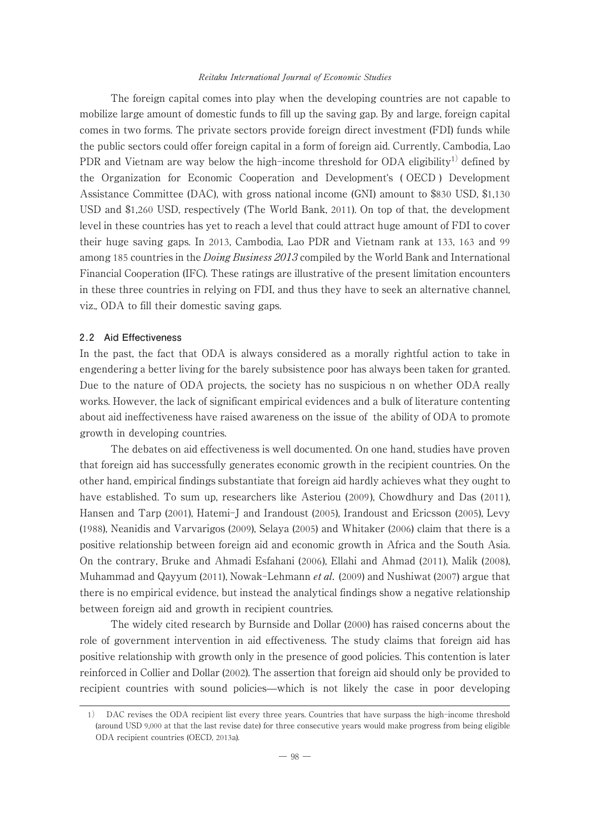The foreign capital comes into play when the developing countries are not capable to mobilize large amount of domestic funds to fill up the saving gap. By and large, foreign capital comes in two forms. The private sectors provide foreign direct investment (FDI) funds while the public sectors could offer foreign capital in a form of foreign aid. Currently, Cambodia, Lao PDR and Vietnam are way below the high-income threshold for ODA eligibility<sup>1)</sup> defined by the Organization for Economic Cooperation and Developmentʻs ( OECD ) Development Assistance Committee (DAC), with gross national income (GNI) amount to \$830 USD, \$1,130 USDand \$1,260 USD, respectively (The World Bank, 2011). On top of that, the development level in these countries has yet to reach a level that could attract huge amount of FDI to cover their huge saving gaps. In 2013, Cambodia, Lao PDR and Vietnam rank at 133, 163 and 99 among 185 countries in the *Doing Business 2013* compiled by the World Bank and International Financial Cooperation (IFC). These ratings are illustrative of the present limitation encounters in these three countries in relying on FDI, and thus they have to seek an alternative channel, viz., ODA to fill their domestic saving gaps.

# **2.2 Aid Effectiveness**

In the past, the fact that ODA is always considered as a morally rightful action to take in engendering a better living for the barely subsistence poor has always been taken for granted. Due to the nature of ODA projects, the society has no suspicious n on whether ODA really works. However, the lack of significant empirical evidences and a bulk of literature contenting about aid ineffectiveness have raised awareness on the issue of the ability of ODA to promote growth in developing countries.

The debates on aid effectiveness is well documented. On one hand, studies have proven that foreign aid has successfully generates economic growth in the recipient countries. On the other hand, empirical findings substantiate that foreign aid hardly achieves what they ought to have established. To sum up, researchers like Asteriou (2009), Chowdhury and Das (2011), Hansen and Tarp (2001), Hatemi-J and Irandoust (2005), Irandoust and Ericsson (2005), Levy (1988), Neanidis and Varvarigos (2009), Selaya (2005) and Whitaker (2006) claim that there is a positive relationship between foreign aid and economic growth in Africa and the South Asia. On the contrary, Bruke and Ahmadi Esfahani (2006), Ellahi and Ahmad (2011), Malik (2008), Muhammad and Qayyum (2011), Nowak-Lehmann *et al.* (2009) and Nushiwat (2007) argue that there is no empirical evidence, but instead the analytical findings show a negative relationship between foreign aid and growth in recipient countries.

The widely cited research by Burnside and Dollar (2000) has raised concerns about the role of government intervention in aid effectiveness. The study claims that foreign aid has positive relationship with growth only in the presence of good policies. This contention is later reinforced in Collier and Dollar (2002). The assertion that foreign aid should only be provided to recipient countries with sound policies̶which is not likely the case in poor developing

<sup>1</sup>) DAC revises the ODA recipient list every three years. Countries that have surpass the high-income threshold (around USD 9,000 at that the last revise date) for three consecutive years would make progress from being eligible ODA recipient countries (OECD, 2013a).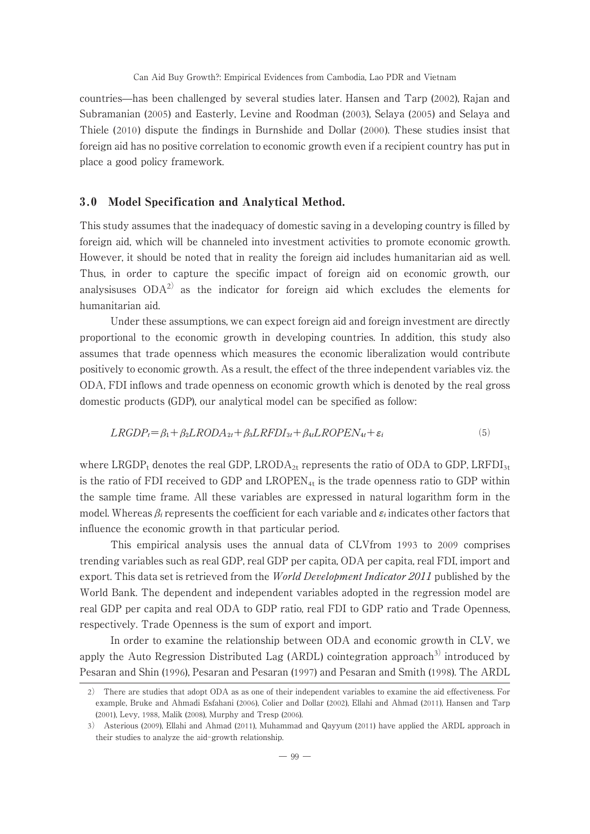countries̶has been challenged by several studies later. Hansen and Tarp (2002), Rajan and Subramanian (2005) and Easterly, Levine and Roodman (2003), Selaya (2005) and Selaya and Thiele (2010) dispute the findings in Burnshide and Dollar (2000). These studies insist that foreign aid has no positive correlation to economic growth even if a recipient country has put in place a good policy framework.

# 3.0 Model Specification and Analytical Method.

This study assumes that the inadequacy of domestic saving in a developing country is filled by foreign aid, which will be channeled into investment activities to promote economic growth. However, it should be noted that in reality the foreign aid includes humanitarian aid as well. Thus, in order to capture the specific impact of foreign aid on economic growth, our analysisuses  $ODA<sup>2</sup>$  as the indicator for foreign aid which excludes the elements for humanitarian aid.

Under these assumptions, we can expect foreign aid and foreign investment are directly proportional to the economic growth in developing countries. In addition, this study also assumes that trade openness which measures the economic liberalization would contribute positively to economic growth. As a result, the effect of the three independent variables viz. the ODA, FDI inflows and trade openness on economic growth which is denoted by the real gross domestic products (GDP), our analytical model can be specified as follow:

$$
LRGDP_t = \beta_1 + \beta_2 LR ODA_{2t} + \beta_3 LRFDI_{3t} + \beta_{4t} LR OPEN_{4t} + \varepsilon_i
$$
\n
$$
\tag{5}
$$

where LRGDP<sub>t</sub> denotes the real GDP, LRODA<sub>2t</sub> represents the ratio of ODA to GDP, LRFDI<sub>3t</sub> is the ratio of FDI received to GDP and  $LROPEN_{4t}$  is the trade openness ratio to GDP within the sample time frame. All these variables are expressed in natural logarithm form in the model. Whereas  $\beta_i$  represents the coefficient for each variable and  $\varepsilon_i$  indicates other factors that influence the economic growth in that particular period.

This empirical analysis uses the annual data of CLVfrom 1993 to 2009 comprises trending variables such as real GDP, real GDP per capita, ODA per capita, real FDI, import and export. This data set is retrieved from the *World Development Indicator 2011* published by the World Bank. The dependent and independent variables adopted in the regression model are real GDP per capita and real ODA to GDP ratio, real FDI to GDP ratio and Trade Openness, respectively. Trade Openness is the sum of export and import.

In order to examine the relationship between ODA and economic growth in CLV, we apply the Auto Regression Distributed Lag (ARDL) cointegration approach<sup>3)</sup> introduced by Pesaran and Shin (1996), Pesaran and Pesaran (1997) and Pesaran and Smith (1998). The ARDL

<sup>2</sup>) There are studies that adopt ODA as as one of their independent variables to examine the aid effectiveness. For example, Bruke and Ahmadi Esfahani (2006), Colier and Dollar (2002), Ellahi and Ahmad (2011), Hansen and Tarp (2001), Levy, 1988, Malik (2008), Murphy and Tresp (2006).

<sup>3</sup>) Asterious (2009), Ellahi and Ahmad (2011), Muhammad and Qayyum (2011) have applied the ARDL approach in their studies to analyze the aid-growth relationship.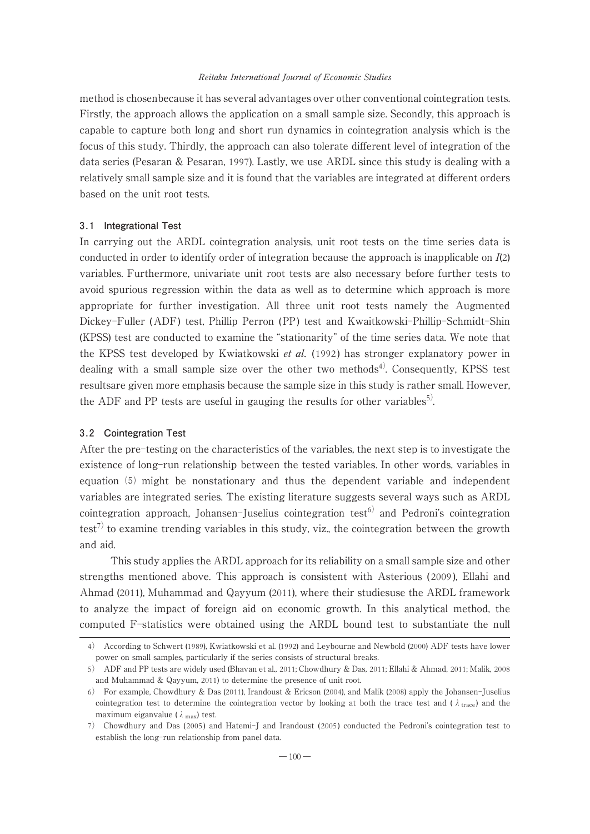method is chosenbecause it has several advantages over other conventional cointegration tests. Firstly, the approach allows the application on a small sample size. Secondly, this approach is capable to capture both long and short run dynamics in cointegration analysis which is the focus of this study. Thirdly, the approach can also tolerate different level of integration of the data series (Pesaran & Pesaran, 1997). Lastly, we use ARDL since this study is dealing with a relatively small sample size and it is found that the variables are integrated at different orders based on the unit root tests.

#### **3.1 Integrational Test**

In carrying out the ARDL cointegration analysis, unit root tests on the time series data is conducted in order to identify order of integration because the approach is inapplicable on I(2) variables. Furthermore, univariate unit root tests are also necessary before further tests to avoid spurious regression within the data as well as to determine which approach is more appropriate for further investigation. All three unit root tests namely the Augmented Dickey-Fuller (ADF) test, Phillip Perron (PP) test and Kwaitkowski-Phillip-Schmidt-Shin (KPSS) test are conducted to examine the "stationarity" of the time series data. We note that the KPSS test developed by Kwiatkowski *et al.* (1992) has stronger explanatory power in dealing with a small sample size over the other two methods<sup>4)</sup>. Consequently, KPSS test resultsare given more emphasis because the sample size in this study is rather small. However, the ADF and PP tests are useful in gauging the results for other variables<sup>5)</sup>.

#### **3.2 Cointegration Test**

After the pre-testing on the characteristics of the variables, the next step is to investigate the existence of long-run relationship between the tested variables. In other words, variables in equation  $(5)$  might be nonstationary and thus the dependent variable and independent variables are integrated series. The existing literature suggests several ways such as ARDL cointegration approach, Johansen-Juselius cointegration test<sup>6)</sup> and Pedroni's cointegration test<sup>7)</sup> to examine trending variables in this study, viz., the cointegration between the growth and aid.

This study applies the ARDL approach for its reliability on a small sample size and other strengths mentioned above. This approach is consistent with Asterious ( 2009 ), Ellahi and Ahmad (2011), Muhammad and Qayyum (2011), where their studiesuse the ARDL framework to analyze the impact of foreign aid on economic growth. In this analytical method, the computed F-statistics were obtained using the ARDL bound test to substantiate the null

<sup>4</sup>) According to Schwert (1989), Kwiatkowski et al. (1992) and Leybourne and Newbold (2000) ADF tests have lower power on small samples, particularly if the series consists of structural breaks.

<sup>5</sup>) ADF and PP tests are widely used (Bhavan et al., 2011; Chowdhury & Das, 2011; Ellahi & Ahmad, 2011; Malik, 2008 and Muhammad & Qayyum, 2011) to determine the presence of unit root.

<sup>6</sup>) For example, Chowdhury & Das (2011), Irandoust & Ericson (2004), and Malik (2008) apply the Johansen-Juselius cointegration test to determine the cointegration vector by looking at both the trace test and ( $\lambda$ <sub>trace</sub>) and the maximum eiganvalue ( $\lambda_{\text{max}}$ ) test.

<sup>7</sup>) Chowdhury and Das ( 2005 ) and Hatemi-J and Irandoust ( 2005 ) conducted the Pedroni's cointegration test to establish the long-run relationship from panel data.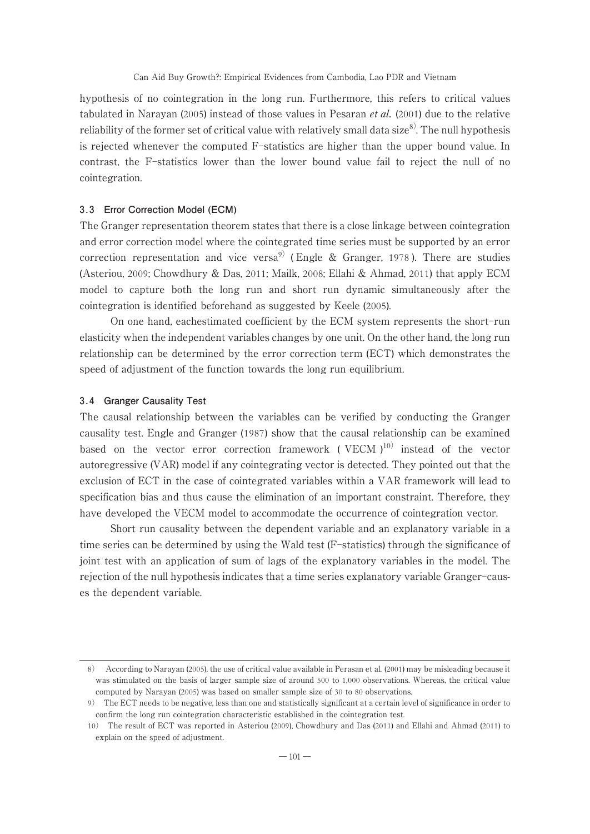hypothesis of no cointegration in the long run. Furthermore, this refers to critical values tabulated in Narayan (2005) instead of those values in Pesaran *et al.* (2001) due to the relative reliability of the former set of critical value with relatively small data size $8^{\circ}$ . The null hypothesis is rejected whenever the computed F-statistics are higher than the upper bound value. In contrast, the F-statistics lower than the lower bound value fail to reject the null of no cointegration.

# **3.3 Error Correction Model (ECM)**

The Granger representation theorem states that there is a close linkage between cointegration and error correction model where the cointegrated time series must be supported by an error correction representation and vice versa<sup>9)</sup> (Engle & Granger, 1978). There are studies (Asteriou, 2009; Chowdhury & Das, 2011; Mailk, 2008; Ellahi & Ahmad, 2011) that apply ECM model to capture both the long run and short run dynamic simultaneously after the cointegration is identified beforehand as suggested by Keele (2005).

On one hand, eachestimated coefficient by the ECM system represents the short-run elasticity when the independent variables changes by one unit. On the other hand, the long run relationship can be determined by the error correction term (ECT) which demonstrates the speed of adjustment of the function towards the long run equilibrium.

#### **3.4 Granger Causality Test**

The causal relationship between the variables can be verified by conducting the Granger causality test. Engle and Granger (1987) show that the causal relationship can be examined based on the vector error correction framework ( VECM  $1^{10}$ ) instead of the vector autoregressive (VAR) model if any cointegrating vector is detected. They pointed out that the exclusion of ECT in the case of cointegrated variables within a VAR framework will lead to specification bias and thus cause the elimination of an important constraint. Therefore, they have developed the VECM model to accommodate the occurrence of cointegration vector.

Short run causality between the dependent variable and an explanatory variable in a time series can be determined by using the Wald test (F-statistics) through the significance of joint test with an application of sum of lags of the explanatory variables in the model. The rejection of the null hypothesis indicates that a time series explanatory variable Granger-causes the dependent variable.

<sup>8</sup>) According to Narayan (2005), the use of critical value available in Perasan et al. (2001) may be misleading because it was stimulated on the basis of larger sample size of around 500 to 1,000 observations. Whereas, the critical value computed by Narayan (2005) was based on smaller sample size of 30 to 80 observations.

<sup>9</sup>) The ECT needs to be negative, less than one and statistically significant at a certain level of significance in order to confirm the long run cointegration characteristic established in the cointegration test.

<sup>10</sup>) The result of ECT was reported in Asteriou (2009), Chowdhury and Das (2011) and Ellahi and Ahmad (2011) to explain on the speed of adjustment.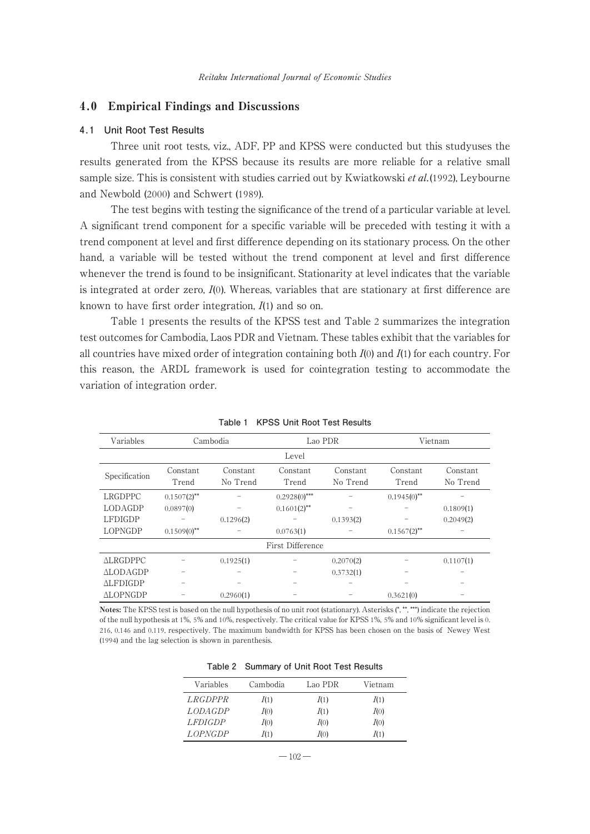## 4.0 Empirical Findings and Discussions

#### **4.1 Unit Root Test Results**

Three unit root tests, viz., ADF, PP and KPSS were conducted but this studyuses the results generated from the KPSS because its results are more reliable for a relative small sample size. This is consistent with studies carried out by Kwiatkowski *et al.*(1992), Leybourne and Newbold (2000) and Schwert (1989).

The test begins with testing the significance of the trend of a particular variable at level. A significant trend component for a specific variable will be preceded with testing it with a trend component at level and first difference depending on its stationary process. On the other hand, a variable will be tested without the trend component at level and first difference whenever the trend is found to be insignificant. Stationarity at level indicates that the variable is integrated at order zero, I(0). Whereas, variables that are stationary at first difference are known to have first order integration,  $I(1)$  and so on.

Table 1 presents the results of the KPSS test and Table 2 summarizes the integration test outcomes for Cambodia, Laos PDR and Vietnam. These tables exhibit that the variables for all countries have mixed order of integration containing both  $I(0)$  and  $I(1)$  for each country. For this reason, the ARDL framework is used for cointegration testing to accommodate the variation of integration order.

| Variables       |                   | Lao PDR<br>Cambodia  |                   |                      | Vietnam           |                      |
|-----------------|-------------------|----------------------|-------------------|----------------------|-------------------|----------------------|
|                 |                   |                      | Level             |                      |                   |                      |
| Specification   | Constant<br>Trend | Constant<br>No Trend | Constant<br>Trend | Constant<br>No Trend | Constant<br>Trend | Constant<br>No Trend |
| LRGDPPC         | $0.1507(2)$ **    |                      | $0.2928(0)$ ***   |                      | $0.1945(0)$ **    |                      |
| LODAGDP         | 0.0897(0)         |                      | $0.1601(2)$ **    |                      |                   | 0.1809(1)            |
| <b>LFDIGDP</b>  |                   | 0.1296(2)            |                   | 0.1393(2)            |                   | 0.2049(2)            |
| <b>LOPNGDP</b>  | $0.1509(0)$ **    |                      | 0.0763(1)         |                      | $0.1567(2)$ **    |                      |
|                 |                   |                      | First Difference  |                      |                   |                      |
| <b>ALRGDPPC</b> |                   | 0.1925(1)            |                   | 0.2070(2)            |                   | 0.1107(1)            |
| <b>ALODAGDP</b> |                   |                      |                   | 0.3732(1)            |                   |                      |
| <b>ALFDIGDP</b> |                   |                      |                   |                      |                   |                      |
| <b>ALOPNGDP</b> |                   | 0.2960(1)            |                   |                      | 0.3621(0)         |                      |

**Table 1 KPSS Unit Root Test Results**

Notes: The KPSS test is based on the null hypothesis of no unit root (stationary). Asterisks (\*, \*\*, \*\*\*) indicate the rejection of the null hypothesis at 1%, 5% and 10%, respectively. The critical value for KPSS 1%, 5% and 10% significant level is 0. 216, 0.146 and 0.119, respectively. The maximum bandwidth for KPSS has been chosen on the basis of Newey West (1994) and the lag selection is shown in parenthesis.

|                |          | $1$ able $2$ building $\theta$ of bill hoot restricts and |         |
|----------------|----------|-----------------------------------------------------------|---------|
| Variables      | Cambodia | Lao PDR                                                   | Vietnam |
| <i>LRGDPPR</i> | I(1)     | I(1)                                                      | I(1)    |
| <b>LODAGDP</b> | I(0)     | I(1)                                                      | I(0)    |
| <b>LFDIGDP</b> | I(0)     | I(0)                                                      | I(0)    |
| <i>LOPNGDP</i> | I(1)     | I(0)                                                      | I(1)    |

|  | Table 2 Summary of Unit Root Test Results |
|--|-------------------------------------------|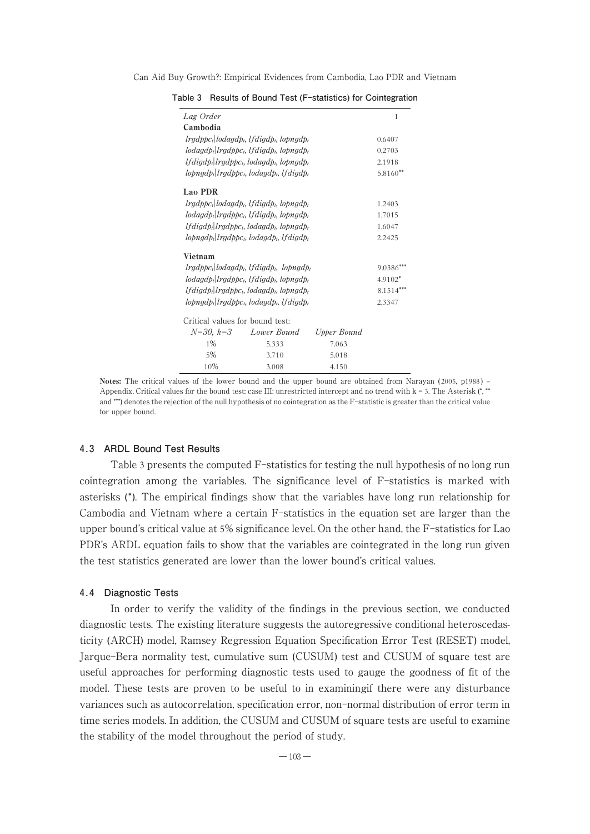| Lag Order                                                                             |                                                                                                                                      |             | 1           |
|---------------------------------------------------------------------------------------|--------------------------------------------------------------------------------------------------------------------------------------|-------------|-------------|
| Cambodia                                                                              |                                                                                                                                      |             |             |
|                                                                                       | lrgdppc <sub>t</sub> lodagdp <sub>t</sub> , lfdigdp <sub>t</sub> , lopngdpt                                                          |             | 0.6407      |
|                                                                                       | $\lceil \frac{1}{2} \rceil$ legdptc <sub>t</sub> , lfdigdp <sub>t</sub> , lopngdp <sub>t</sub>                                       |             | 0.2703      |
|                                                                                       | $lfdiqdb_l lrgdbbc_l, lodagdb_l, lopngdb_l$                                                                                          |             | 2.1918      |
|                                                                                       | $\log \frac{1}{2}$ lrgdppc <sub>t</sub> , lodagdp <sub>t</sub> , lfdigdp <sub>t</sub>                                                |             | $5.8160**$  |
| Lao PDR                                                                               |                                                                                                                                      |             |             |
|                                                                                       | lradppc: lodagdp <sub>t</sub> , lfdigdp <sub>t</sub> , lopngdpt                                                                      |             | 1.2403      |
|                                                                                       | $\lceil \frac{1}{2} \rceil$ legdptc <sub>t</sub> , lfdigdp <sub>t</sub> , lopngdp <sub>t</sub>                                       |             | 1.7015      |
|                                                                                       | lfdigdp <sub>t</sub> lrgdppc <sub>t</sub> , lodagdp <sub>t</sub> , lopngdpt                                                          |             | 1.6047      |
| $\log \frac{1}{2}$ lrgdppc <sub>t</sub> , lodagdp <sub>t</sub> , lfdigdp <sub>t</sub> | 2.2425                                                                                                                               |             |             |
| Vietnam                                                                               |                                                                                                                                      |             |             |
| $lrqdpbcl   lodagdpl, lfdiqdbl, lopngdpl$                                             | $9.0386***$                                                                                                                          |             |             |
|                                                                                       | $\lceil \frac{1}{2} \rceil$ lodged $\lceil \frac{1}{2} \rceil$ logged $\lceil \frac{1}{2} \rceil$ logged $\lceil \frac{1}{2} \rceil$ |             | $4.9102*$   |
|                                                                                       | $lfdiqdb_l lrgdbbc_l, lodagdb_l, lopngdb_l$                                                                                          |             | $8.1514***$ |
| $\log \frac{1}{2}$ lopngd $p_i$ logd $p_i$ , lodagd $p_i$ , l $f$ digd $p_i$          | 2.3347                                                                                                                               |             |             |
| Critical values for bound test:                                                       |                                                                                                                                      |             |             |
| $N=30, k=3$                                                                           | Lower Bound                                                                                                                          | Upper Bound |             |
| $1\%$                                                                                 | 5.333                                                                                                                                | 7.063       |             |
| 5%                                                                                    | 3.710                                                                                                                                | 5.018       |             |
| 10%                                                                                   | 3.008                                                                                                                                | 4.150       |             |

**Table 3 Results of Bound Test (F-statistics) for Cointegration**

Notes: The critical values of the lower bound and the upper bound are obtained from Narayan (2005, p1988) – Appendix, Critical values for the bound test: case III: unrestricted intercept and no trend with  $k = 3$ . The Asterisk  $(*)^*$ and \*\*\*) denotes the rejection of the null hypothesis of no cointegration as the F-statistic is greater than the critical value for upper bound.

## **4.3 ARDL Bound Test Results**

Table 3 presents the computed F-statistics for testing the null hypothesis of no long run cointegration among the variables. The significance level of F-statistics is marked with asterisks ( \*). The empirical findings show that the variables have long run relationship for Cambodia and Vietnam where a certain F-statistics in the equation set are larger than the upper bound's critical value at 5% significance level. On the other hand, the F-statistics for Lao PDR's ARDL equation fails to show that the variables are cointegrated in the long run given the test statistics generated are lower than the lower bound's critical values.

#### **4.4 Diagnostic Tests**

In order to verify the validity of the findings in the previous section, we conducted diagnostic tests. The existing literature suggests the autoregressive conditional heteroscedasticity (ARCH) model, Ramsey Regression Equation Specification Error Test (RESET) model, Jarque-Bera normality test, cumulative sum (CUSUM) test and CUSUM of square test are useful approaches for performing diagnostic tests used to gauge the goodness of fit of the model. These tests are proven to be useful to in examiningif there were any disturbance variances such as autocorrelation, specification error, non-normal distribution of error term in time series models. In addition, the CUSUM and CUSUM of square tests are useful to examine the stability of the model throughout the period of study.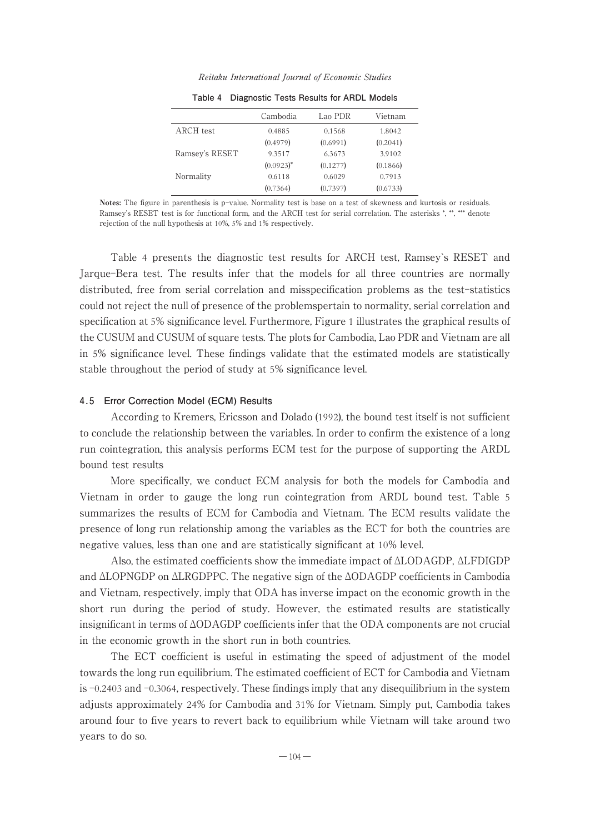Reitaku International Journal of Economic Studies

|                | Cambodia     | Lao PDR  | Vietnam  |
|----------------|--------------|----------|----------|
| ARCH test      | 0.4885       | 0.1568   | 1.8042   |
|                | (0.4979)     | (0.6991) | (0.2041) |
| Ramsey's RESET | 9.3517       | 6.3673   | 3.9102   |
|                | $(0.0923)^*$ | (0.1277) | (0.1866) |
| Normality      | 0.6118       | 0.6029   | 0.7913   |
|                | (0.7364)     | (0.7397) | (0.6733) |
|                |              |          |          |

**Table 4 Diagnostic Tests Results for ARDL Models**

Notes: The figure in parenthesis is p-value. Normality test is base on a test of skewness and kurtosis or residuals. Ramsey's RESET test is for functional form, and the ARCH test for serial correlation. The asterisks \*, \*\*, \*\*\* denote rejection of the null hypothesis at 10%, 5% and 1% respectively.

Table 4 presents the diagnostic test results for ARCH test, Ramsey`s RESET and Jarque-Bera test. The results infer that the models for all three countries are normally distributed, free from serial correlation and misspecification problems as the test-statistics could not reject the null of presence of the problemspertain to normality, serial correlation and specification at 5% significance level. Furthermore, Figure 1 illustrates the graphical results of the CUSUM and CUSUM of square tests. The plots for Cambodia, Lao PDR and Vietnam are all in 5% significance level. These findings validate that the estimated models are statistically stable throughout the period of study at 5% significance level.

#### **4.5 Error Correction Model (ECM) Results**

According to Kremers, Ericsson and Dolado (1992), the bound test itself is not sufficient to conclude the relationship between the variables. In order to confirm the existence of a long run cointegration, this analysis performs ECM test for the purpose of supporting the ARDL bound test results

More specifically, we conduct ECM analysis for both the models for Cambodia and Vietnam in order to gauge the long run cointegration from ARDL bound test. Table 5 summarizes the results of ECM for Cambodia and Vietnam. The ECM results validate the presence of long run relationship among the variables as the ECT for both the countries are negative values, less than one and are statistically significant at 10% level.

Also, the estimated coefficients show the immediate impact of ∆LODAGDP, ∆LFDIGDP and ∆LOPNGDP on ∆LRGDPPC. The negative sign of the ∆ODAGDP coefficients in Cambodia and Vietnam, respectively, imply that ODA has inverse impact on the economic growth in the short run during the period of study. However, the estimated results are statistically insignificant in terms of ∆ODAGDP coefficients infer that the ODA components are not crucial in the economic growth in the short run in both countries.

The ECT coefficient is useful in estimating the speed of adjustment of the model towards the long run equilibrium. The estimated coefficient of ECT for Cambodia and Vietnam is -0.2403 and -0.3064, respectively. These findings imply that any disequilibrium in the system adjusts approximately 24% for Cambodia and 31% for Vietnam. Simply put, Cambodia takes around four to five years to revert back to equilibrium while Vietnam will take around two years to do so.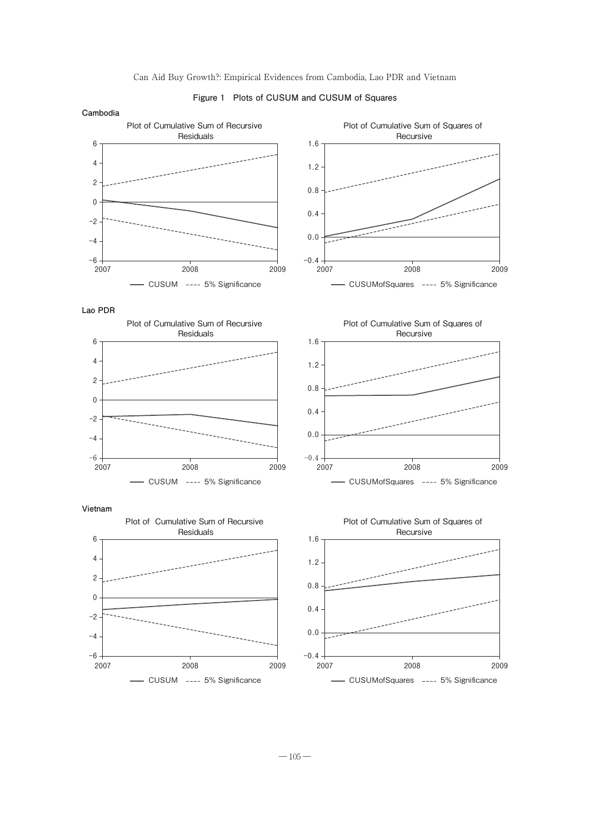

0.4 0.8 1.2 1.6 0 2 4 6 - CUSUMofSquares ---- 5% Significance  $-0.4 + 2007$ 0.0 0.4 0.8 1.2 1.6 2007 2008 2009 - CUSUM ---- 5% Significance **-6** -4 -2 0 2 4 6 2007 2008 2009 - CUSUMofSquares ---- 5% Significance  $-0.4 + 2007$ 0.0 0.4 0.8 1.2 1.6 2007 2008 2009 - CUSUM ---- 5% Significance  $-6 +$ <br>2007 -4 -2  $\mathbf{0}$ 2 4 6 2007 2008 2009 Plot of Cumulative Sum of Squares of Recursive Plot of Cumulative Sum of Recursive Residuals **Vietnam** Plot of Cumulative Sum of Squares of Recursive Plot of Cumulative Sum of Recursive Residuals **Lao PDR** Plot of Cumulative Sum of Squares of Recursive Plot of Cumulative Sum of Recursive Residuals **Cambodia**

#### **Figure 1 Plots of CUSUM and CUSUM of Squares**

- CUSUM ---- 5% Significance  $-6 +$ <br>2007 -4 -2 2007 2008 2009

 $-105-$ 

 $-0.4 + 2007$ 

0.0

- CUSUMofSquares ---- 5% Significance

2007 2008 2009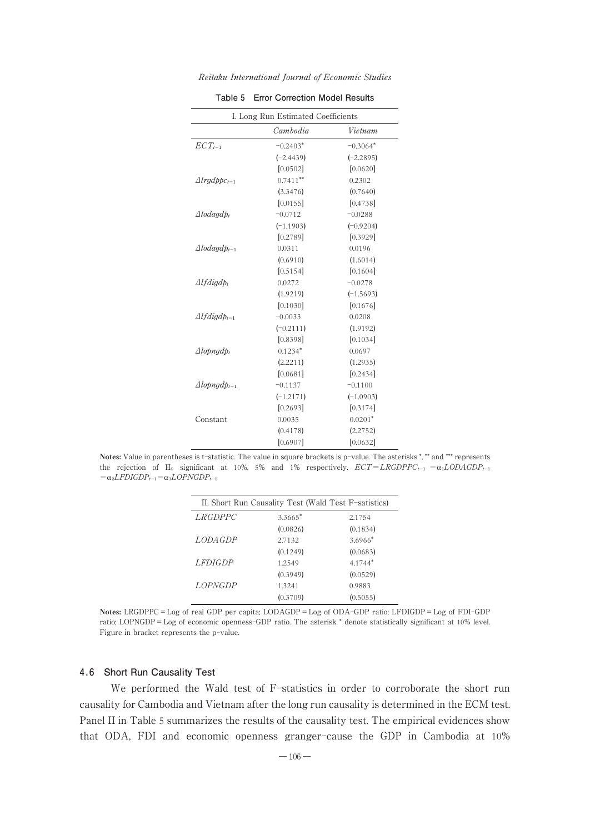| I. Long Run Estimated Coefficients        |             |             |  |  |
|-------------------------------------------|-------------|-------------|--|--|
|                                           | Cambodia    | Vietnam     |  |  |
| $ECT_{t-1}$                               | $-0.2403*$  | $-0.3064*$  |  |  |
|                                           | $(-2.4439)$ | $(-2.2895)$ |  |  |
|                                           | [0.0502]    | [0.0620]    |  |  |
| $\triangle$ <i>lrgdppc</i> <sub>t-1</sub> | $0.7411***$ | 0.2302      |  |  |
|                                           | (3.3476)    | (0.7640)    |  |  |
|                                           | [0.0155]    | [0.4738]    |  |  |
| $\Delta$ lodagd $p_t$                     | $-0.0712$   | $-0.0288$   |  |  |
|                                           | $(-1.1903)$ | $(-0.9204)$ |  |  |
|                                           | [0.2789]    | [0.3929]    |  |  |
| $\triangle$ <i>lodaadb</i> <sub>t-1</sub> | 0.0311      | 0.0196      |  |  |
|                                           | (0.6910)    | (1.6014)    |  |  |
|                                           | [0.5154]    | [0.1604]    |  |  |
| $Alfdiqdb_i$                              | 0.0272      | $-0.0278$   |  |  |
|                                           | (1.9219)    | $(-1.5693)$ |  |  |
|                                           | [0.1030]    | [0.1676]    |  |  |
| $\triangle I f \, diag d p_{t-1}$         | $-0.0033$   | 0.0208      |  |  |
|                                           | $(-0.2111)$ | (1.9192)    |  |  |
|                                           | [0.8398]    | [0.1034]    |  |  |
| $\Delta$ lopngd $p_t$                     | $0.1234*$   | 0.0697      |  |  |
|                                           | (2.2211)    | (1.2935)    |  |  |
|                                           | [0.0681]    | [0.2434]    |  |  |
| $\triangle$ lopngd $p_{t-1}$              | $-0.1137$   | $-0.1100$   |  |  |
|                                           | $(-1.2171)$ | $(-1.0903)$ |  |  |
|                                           | [0.2693]    | [0.3174]    |  |  |
| Constant                                  | 0.0035      | $0.0201*$   |  |  |
|                                           | (0.4178)    | (2.2752)    |  |  |
|                                           | [0.6907]    | [0.0632]    |  |  |
|                                           |             |             |  |  |

Reitaku International Journal of Economic Studies

| Table 5 Error Correction Model Results |  |  |  |
|----------------------------------------|--|--|--|
|----------------------------------------|--|--|--|

Notes: Value in parentheses is t-statistic. The value in square brackets is p-value. The asterisks \*, \*\* and \*\*\* represents the rejection of H<sub>0</sub> significant at 10%, 5% and 1% respectively.  $ECT = LRGDPPC_{t-1} - \alpha_1 LODAGDP_{t-1}$  $-\alpha_2 LFDIGDP_{t-1} - \alpha_3 LOPNGDP_{t-1}$ 

|                | II. Short Run Causality Test (Wald Test F-satistics) |           |
|----------------|------------------------------------------------------|-----------|
| <i>LRGDPPC</i> | 3.3665*                                              | 2.1754    |
|                | (0.0826)                                             | (0.1834)  |
| LODA GDP       | 2.7132                                               | $3.6966*$ |
|                | (0.1249)                                             | (0.0683)  |
| <i>LFDIGDP</i> | 1.2549                                               | $4.1744*$ |
|                | (0.3949)                                             | (0.0529)  |
| <i>LOPNGDP</i> | 1.3241                                               | 0.9883    |
|                | (0.3709)                                             | (0.5055)  |

Notes: LRGDPPC=Log of real GDP per capita; LODAGDP=Log of ODA-GDP ratio; LFDIGDP=Log of FDI-GDP ratio; LOPNGDP=Log of economic openness-GDP ratio. The asterisk \* denote statistically significant at 10% level. Figure in bracket represents the p-value.

#### **4.6 Short Run Causality Test**

We performed the Wald test of F-statistics in order to corroborate the short run causality for Cambodia and Vietnam after the long run causality is determined in the ECM test. Panel II in Table 5 summarizes the results of the causality test. The empirical evidences show that ODA, FDI and economic openness granger-cause the GDP in Cambodia at 10%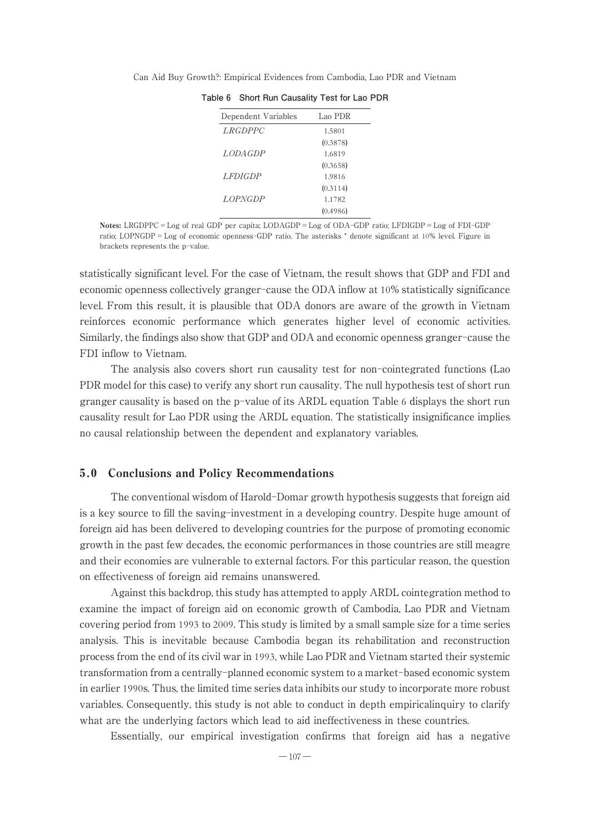|  |  | Can Aid Buy Growth?: Empirical Evidences from Cambodia, Lao PDR and Vietnam |  |  |  |  |  |  |  |
|--|--|-----------------------------------------------------------------------------|--|--|--|--|--|--|--|
|--|--|-----------------------------------------------------------------------------|--|--|--|--|--|--|--|

| Dependent Variables | Lao PDR  |  |
|---------------------|----------|--|
| <i>LRGDPPC</i>      | 1.5801   |  |
|                     | (0.3878) |  |
| LODA GDP            | 1.6819   |  |
|                     | (0.3658) |  |
| <i>LFDIGDP</i>      | 1.9816   |  |
|                     | (0.3114) |  |
| <i>LOPNGDP</i>      | 11782    |  |
|                     | (0.4986) |  |

|  | Table 6 Short Run Causality Test for Lao PDR |  |  |  |
|--|----------------------------------------------|--|--|--|
|--|----------------------------------------------|--|--|--|

Notes: LRGDPPC=Log of real GDP per capita; LODAGDP=Log of ODA-GDP ratio; LFDIGDP=Log of FDI-GDP ratio; LOPNGDP=Log of economic openness-GDP ratio. The asterisks \* denote significant at 10% level. Figure in brackets represents the p-value.

statistically significant level. For the case of Vietnam, the result shows that GDP and FDI and economic openness collectively granger-cause the ODA inflow at 10% statistically significance level. From this result, it is plausible that ODA donors are aware of the growth in Vietnam reinforces economic performance which generates higher level of economic activities. Similarly, the findings also show that GDP and ODA and economic openness granger-cause the FDI inflow to Vietnam.

The analysis also covers short run causality test for non-cointegrated functions (Lao PDR model for this case) to verify any short run causality. The null hypothesis test of short run granger causality is based on the p-value of its ARDL equation Table 6 displays the short run causality result for Lao PDR using the ARDL equation. The statistically insignificance implies no causal relationship between the dependent and explanatory variables.

# 5.0 Conclusions and Policy Recommendations

The conventional wisdom of Harold-Domar growth hypothesis suggests that foreign aid is a key source to fill the saving-investment in a developing country. Despite huge amount of foreign aid has been delivered to developing countries for the purpose of promoting economic growth in the past few decades, the economic performances in those countries are still meagre and their economies are vulnerable to external factors. For this particular reason, the question on effectiveness of foreign aid remains unanswered.

Against this backdrop, this study has attempted to apply ARDL cointegration method to examine the impact of foreign aid on economic growth of Cambodia, Lao PDR and Vietnam covering period from 1993 to 2009. This study is limited by a small sample size for a time series analysis. This is inevitable because Cambodia began its rehabilitation and reconstruction process from the end of its civil war in 1993, while Lao PDR and Vietnam started their systemic transformation from a centrally-planned economic system to a market-based economic system in earlier 1990s. Thus, the limited time series data inhibits our study to incorporate more robust variables. Consequently, this study is not able to conduct in depth empiricalinquiry to clarify what are the underlying factors which lead to aid ineffectiveness in these countries.

Essentially, our empirical investigation confirms that foreign aid has a negative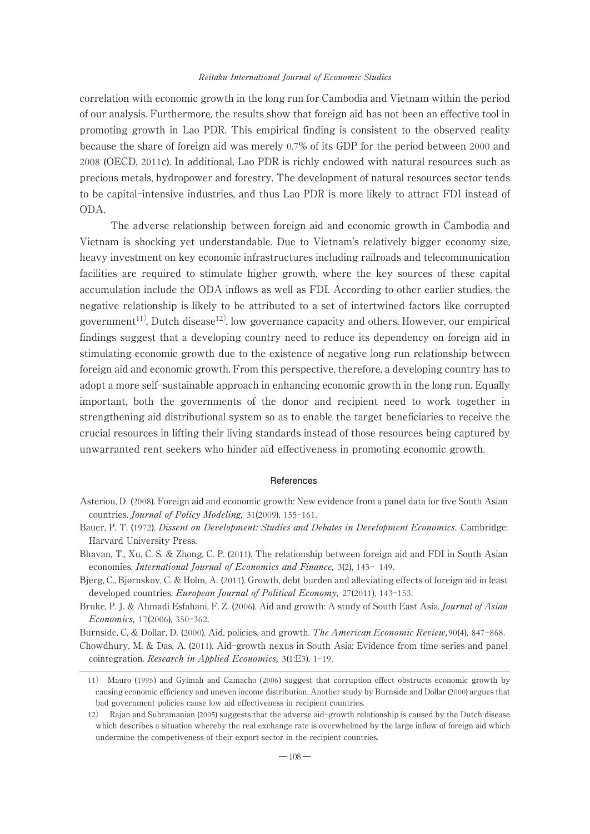correlation with economic growth in the long run for Cambodia and Vietnam within the period of our analysis. Furthermore, the results show that foreign aid has not been an effective tool in promoting growth in Lao PDR. This empirical finding is consistent to the observed reality because the share of foreign aid was merely 0.7% of its GDP for the period between 2000 and 2008 (OECD, 2011c). In additional, Lao PDR is richly endowed with natural resources such as precious metals, hydropower and forestry. The development of natural resources sector tends to be capital-intensive industries, and thus Lao PDR is more likely to attract FDI instead of ODA.

The adverse relationship between foreign aid and economic growth in Cambodia and Vietnam is shocking yet understandable. Due to Vietnam's relatively bigger economy size, heavy investment on key economic infrastructures including railroads and telecommunication facilities are required to stimulate higher growth, where the key sources of these capital accumulation include the ODA inflows as well as FDI. According to other earlier studies, the negative relationship is likely to be attributed to a set of intertwined factors like corrupted government<sup>11)</sup>, Dutch disease<sup>12)</sup>, low governance capacity and others. However, our empirical findings suggest that a developing country need to reduce its dependency on foreign aid in stimulating economic growth due to the existence of negative long run relationship between foreign aid and economic growth. From this perspective, therefore, a developing country has to adopt a more self-sustainable approach in enhancing economic growth in the long run. Equally important, both the governments of the donor and recipient need to work together in strengthening aid distributional system so as to enable the target beneficiaries to receive the crucial resources in lifting their living standards instead of those resources being captured by unwarranted rent seekers who hinder aid effectiveness in promoting economic growth.

#### **References**

- Asteriou, D. (2008). Foreign aid and economic growth: New evidence from a panel data for five South Asian countries. Journal of Policy Modeling, 31(2009), 155-161.
- Bauer, P. T. (1972). Dissent on Development: Studies and Debates in Development Economics. Cambridge: Harvard University Press.
- Bhavan, T., Xu, C. S. & Zhong, C. P. (2011). The relationship between foreign aid and FDI in South Asian economies. International Journal of Economics and Finance, 3(2), 143- 149.
- Bjerg, C., Bjørnskov, C. & Holm, A. (2011). Growth, debt burden and alleviating effects of foreign aid in least developed countries. European Journal of Political Economy, 27(2011), 143-153.
- Bruke, P. J. & Ahmadi Esfahani, F. Z. (2006). Aid and growth: A study of South East Asia. *Journal of Asian* Economics, 17(2006), 350-362.

Burnside, C, & Dollar, D. (2000). Aid, policies, and growth. The American Economic Review, 90(4), 847-868. Chowdhury, M. & Das, A. (2011). Aid-growth nexus in South Asia: Evidence from time series and panel cointegration. Research in Applied Economics, 3(1:E3), 1-19.

<sup>11</sup>) Mauro (1995 ) and Gyimah and Camacho (2006 ) suggest that corruption effect obstructs economic growth by causing economic efficiency and uneven income distribution. Another study by Burnside and Dollar (2000) argues that bad government policies cause low aid effectiveness in recipient countries.

<sup>12</sup>) Rajan and Subramanian (2005) suggests that the adverse aid-growth relationship is caused by the Dutch disease which describes a situation whereby the real exchange rate is overwhelmed by the large inflow of foreign aid which undermine the competiveness of their export sector in the recipient countries.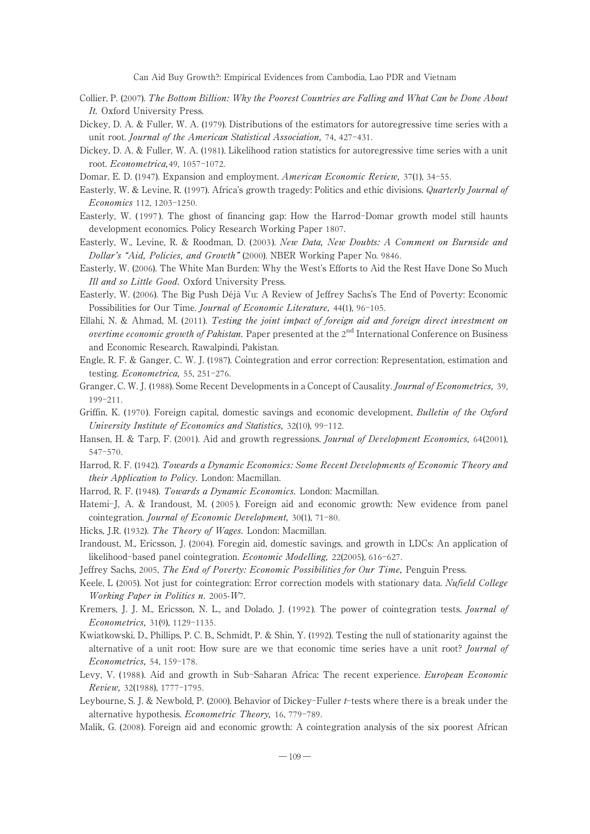- Collier, P. (2007). The Bottom Billion: Why the Poorest Countries are Falling and What Can be Done About It. Oxford University Press.
- Dickey, D. A. & Fuller, W. A. (1979). Distributions of the estimators for autoregressive time series with a unit root. Journal of the American Statistical Association, 74, 427-431.
- Dickey, D. A. & Fuller, W. A. (1981). Likelihood ration statistics for autoregressive time series with a unit root. Econometrica,49, 1057-1072.
- Domar, E. D. (1947). Expansion and employment. American Economic Review, 37(1), 34–55.
- Easterly, W. & Levine, R. (1997). Africa's growth tragedy: Politics and ethic divisions. Quarterly Journal of Economics 112, 1203-1250.
- Easterly, W. ( 1997 ). The ghost of financing gap: How the Harrod-Domar growth model still haunts development economics. Policy Research Working Paper 1807.
- Easterly, W., Levine, R. & Roodman, D. (2003 ). New Data, New Doubts: A Comment on Burnside and Dollar's "Aid, Policies, and Growth" (2000). NBER Working Paper No. 9846.
- Easterly, W. (2006). The White Man Burden: Why the West's Efforts to Aid the Rest Have Done So Much Ill and so Little Good. Oxford University Press.
- Easterly, W. (2006). The Big Push Déjà Vu: A Review of Jeffrey Sachs's The End of Poverty: Economic Possibilities for Our Time. *Journal of Economic Literature*, 44(1), 96-105.
- Ellahi, N. & Ahmad, M. (2011). Testing the joint impact of foreign aid and foreign direct investment on overtime economic growth of Pakistan. Paper presented at the  $2<sup>nd</sup>$  International Conference on Business and Economic Research, Rawalpindi, Pakistan.
- Engle, R. F. & Ganger, C. W. J. (1987). Cointegration and error correction: Representation, estimation and testing. Econometrica, 55, 251-276.
- Granger, C. W. J. (1988). Some Recent Developments in a Concept of Causality. Journal of Econometrics, 39, 199-211.
- Griffin, K. (1970). Foreign capital, domestic savings and economic development, *Bulletin of the Oxford* University Institute of Economics and Statistics, 32(10), 99-112.
- Hansen, H. & Tarp, F. (2001). Aid and growth regressions. Journal of Development Economics, 64(2001), 547-570.
- Harrod, R. F. (1942). Towards a Dynamic Economics: Some Recent Developments of Economic Theory and their Application to Policy. London: Macmillan.
- Harrod, R. F. (1948). Towards a Dynamic Economics. London: Macmillan.
- Hatemi-J, A. & Irandoust, M. ( 2005 ). Foreign aid and economic growth: New evidence from panel cointegration. Journal of Economic Development, 30(1), 71-80.
- Hicks, J.R. (1932). The Theory of Wages. London: Macmillan.
- Irandoust, M., Ericsson, J. (2004). Foregin aid, domestic savings, and growth in LDCs: An application of likelihood-based panel cointegration. Economic Modelling, 22(2005), 616-627.
- Jeffrey Sachs, 2005, The End of Poverty: Economic Possibilities for Our Time, Penguin Press.
- Keele, L (2005). Not just for cointegration: Error correction models with stationary data. Nufield College Working Paper in Politics n. 2005-W7.
- Kremers, J. J. M., Ericsson, N. L., and Dolado, J. (1992). The power of cointegration tests. Journal of Econometrics, 31(9), 1129-1135.
- Kwiatkowski, D., Phillips, P. C. B., Schmidt, P. & Shin, Y. (1992). Testing the null of stationarity against the alternative of a unit root: How sure are we that economic time series have a unit root? Journal of Econometrics, 54, 159-178.
- Levy, V. (1988). Aid and growth in Sub-Saharan Africa: The recent experience. *European Economic* Review, 32(1988), 1777-1795.
- Leybourne, S. J. & Newbold, P. (2000). Behavior of Dickey-Fuller *t*-tests where there is a break under the alternative hypothesis. Econometric Theory, 16, 779-789.
- Malik, G. (2008). Foreign aid and economic growth: A cointegration analysis of the six poorest African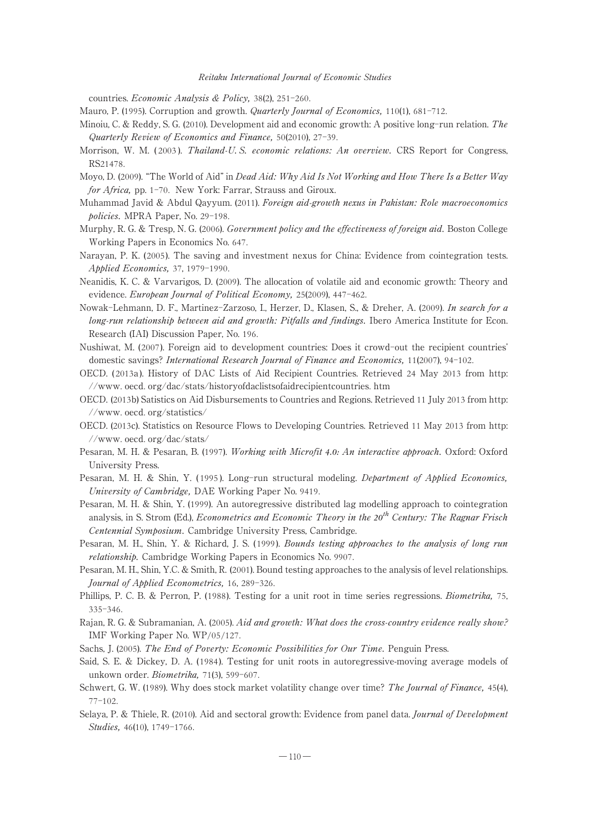countries. Economic Analysis & Policy, 38(2), 251-260.

- Mauro, P. (1995). Corruption and growth. *Quarterly Journal of Economics*, 110(1), 681-712.
- Minoiu, C. & Reddy, S. G. (2010). Development aid and economic growth: A positive long-run relation. The Quarterly Review of Economics and Finance, 50(2010), 27-39.
- Morrison, W. M. (2003). Thailand-U.S. economic relations: An overview. CRS Report for Congress, RS21478.
- Moyo, D. (2009). "The World of Aid" in *Dead Aid: Why Aid Is Not Working and How There Is a Better Way* for Africa, pp. 1-70. New York: Farrar, Strauss and Giroux.
- Muhammad Javid & Abdul Qayyum. (2011). Foreign aid-growth nexus in Pakistan: Role macroeconomics policies. MPRA Paper, No. 29-198.
- Murphy, R. G. & Tresp, N. G. (2006). Government policy and the effectiveness of foreign aid. Boston College Working Papers in Economics No. 647.
- Narayan, P. K. (2005). The saving and investment nexus for China: Evidence from cointegration tests. Applied Economics, 37, 1979-1990.
- Neanidis, K. C. & Varvarigos, D. (2009). The allocation of volatile aid and economic growth: Theory and evidence. European Journal of Political Economy, 25(2009), 447-462.
- Nowak-Lehmann, D. F., Martinez-Zarzoso, I., Herzer, D., Klasen, S., & Dreher, A. (2009). In search for a long-run relationship between aid and growth: Pitfalls and findings. Ibero America Institute for Econ. Research (IAI) Discussion Paper, No. 196.
- Nushiwat, M. (2007). Foreign aid to development countries: Does it crowd-out the recipient countries' domestic savings? International Research Journal of Finance and Economics, 11(2007), 94-102.
- OECD. ( 2013a ). History of DAC Lists of Aid Recipient Countries. Retrieved 24 May 2013 from http: //www. oecd. org/dac/stats/historyofdaclistsofaidrecipientcountries. htm
- OECD. (2013b) Satistics on Aid Disbursements to Countries and Regions. Retrieved 11 July 2013 from http: //www. oecd. org/statistics/
- OECD. (2013c). Statistics on Resource Flows to Developing Countries. Retrieved 11 May 2013 from http: //www. oecd. org/dac/stats/
- Pesaran, M. H. & Pesaran, B. (1997). Working with Microfit *4.0:* An interactive approach. Oxford: Oxford University Press.
- Pesaran, M. H. & Shin, Y. (1995). Long-run structural modeling. Department of Applied Economics, University of Cambridge, DAE Working Paper No. 9419.
- Pesaran, M. H. & Shin, Y. (1999). An autoregressive distributed lag modelling approach to cointegration analysis, in S. Strom (Ed.), Econometrics and Economic Theory in the *20*th Century: The Ragnar Frisch Centennial Symposium. Cambridge University Press, Cambridge.
- Pesaran, M. H., Shin, Y. & Richard, J. S. (1999). Bounds testing approaches to the analysis of long run relationship. Cambridge Working Papers in Economics No. 9907.
- Pesaran, M. H., Shin, Y.C. & Smith, R. (2001). Bound testing approaches to the analysis of level relationships. Journal of Applied Econometrics, 16, 289-326.
- Phillips, P. C. B. & Perron, P. (1988). Testing for a unit root in time series regressions. Biometrika, 75, 335-346.
- Rajan, R. G. & Subramanian, A. (2005). Aid and growth: What does the cross-country evidence really show? IMF Working Paper No. WP/05/127.
- Sachs, J. (2005). The End of Poverty: Economic Possibilities for Our Time. Penguin Press.
- Said, S. E. & Dickey, D. A. (1984 ). Testing for unit roots in autoregressive-moving average models of unkown order. Biometrika, 71(3), 599-607.
- Schwert, G. W. (1989). Why does stock market volatility change over time? The Journal of Finance, 45(4), 77-102.
- Selaya, P. & Thiele, R. (2010). Aid and sectoral growth: Evidence from panel data. *Journal of Development* Studies, 46(10), 1749-1766.